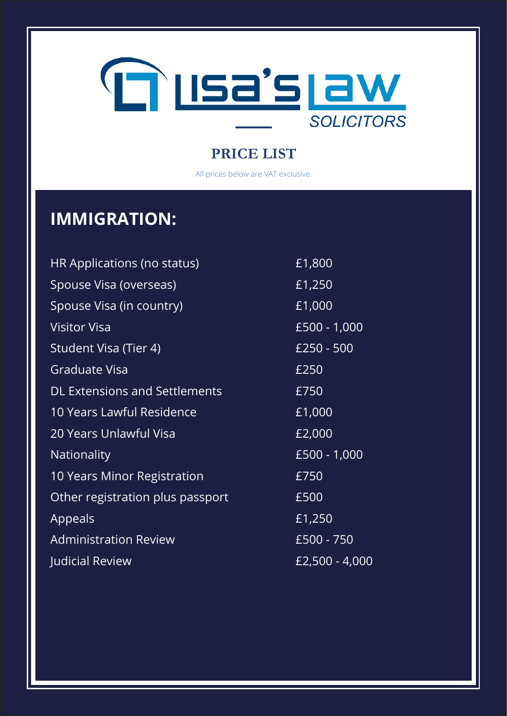

All prices below are VAT exclusive.

# **IMMIGRATION:**

| <b>HR Applications (no status)</b>   | £1,800         |
|--------------------------------------|----------------|
| Spouse Visa (overseas)               | £1,250         |
| Spouse Visa (in country)             | £1,000         |
| <b>Visitor Visa</b>                  | £500 - 1,000   |
| Student Visa (Tier 4)                | £250 - 500     |
| <b>Graduate Visa</b>                 | £250           |
| <b>DL Extensions and Settlements</b> | $E$ 750        |
| 10 Years Lawful Residence            | £1,000         |
| <b>20 Years Unlawful Visa</b>        | £2,000         |
| <b>Nationality</b>                   | £500 - 1,000   |
| 10 Years Minor Registration          | £750           |
| Other registration plus passport     | £500           |
| Appeals                              | £1,250         |
| <b>Administration Review</b>         | £500 - 750     |
| <b>Judicial Review</b>               | £2,500 - 4,000 |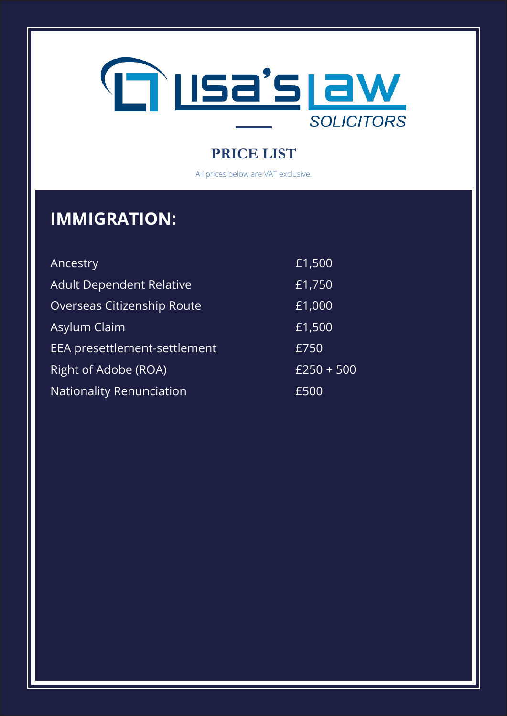

All prices below are VAT exclusive.

# **IMMIGRATION:**

| Ancestry                          | £1,500       |
|-----------------------------------|--------------|
| <b>Adult Dependent Relative</b>   | £1,750       |
| <b>Overseas Citizenship Route</b> | £1,000       |
| Asylum Claim                      | £1,500       |
| EEA presettlement-settlement      | £750         |
| Right of Adobe (ROA)              | $£250 + 500$ |
| <b>Nationality Renunciation</b>   | £500         |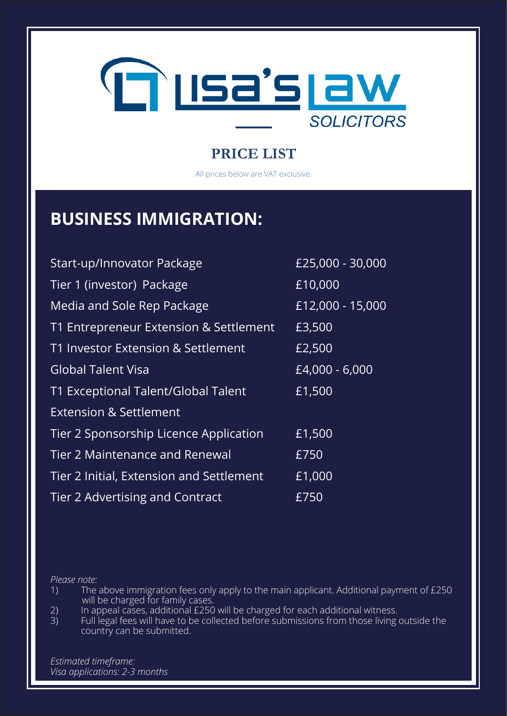

All prices below are VAT exclusive.

### **BUSINESS IMMIGRATION:**

| Start-up/Innovator Package               | £25,000 - 30,000 |
|------------------------------------------|------------------|
| Tier 1 (investor) Package                | £10,000          |
| Media and Sole Rep Package               | £12,000 - 15,000 |
| T1 Entrepreneur Extension & Settlement   | £3,500           |
| T1 Investor Extension & Settlement       | £2,500           |
| <b>Global Talent Visa</b>                | £4,000 - 6,000   |
| T1 Exceptional Talent/Global Talent      | £1,500           |
| <b>Extension &amp; Settlement</b>        |                  |
| Tier 2 Sponsorship Licence Application   | £1,500           |
| <b>Tier 2 Maintenance and Renewal</b>    | £750             |
| Tier 2 Initial, Extension and Settlement | £1,000           |
| Tier 2 Advertising and Contract          | £750             |

*Please note:*

- 1) The above immigration fees only apply to the main applicant. Additional payment of £250 will be charged for family cases.<br>2) In appeal cases, additional £250<br>3) Full legal fees will have to be coll
- 2) In appeal cases, additional £250 will be charged for each additional witness.
- Full legal fees will have to be collected before submissions from those living outside the country can be submitted.

*Estimated timeframe: Visa applications: 2-3 months*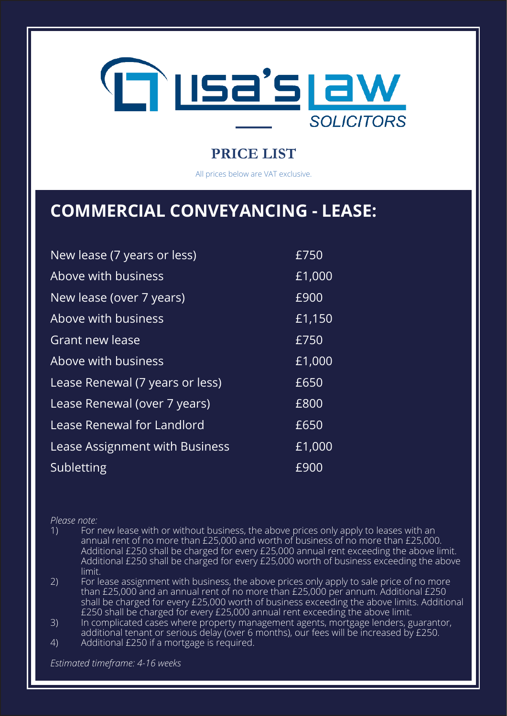

All prices below are VAT exclusive.

### **COMMERCIAL CONVEYANCING - LEASE:**

| New lease (7 years or less)     | £750                  |
|---------------------------------|-----------------------|
| Above with business             | £1,000                |
| New lease (over 7 years)        | £900                  |
| Above with business             | $E$ <sup>1</sup> ,150 |
| <b>Grant new lease</b>          | £750                  |
| Above with business             | £1,000                |
| Lease Renewal (7 years or less) | £650                  |
| Lease Renewal (over 7 years)    | £800                  |
| Lease Renewal for Landlord      | £650                  |
| Lease Assignment with Business  | £1,000                |
| Subletting                      | £900                  |

*Please note:*

1) For new lease with or without business, the above prices only apply to leases with an annual rent of no more than £25,000 and worth of business of no more than £25,000. Additional £250 shall be charged for every £25,000 annual rent exceeding the above limit. Additional £250 shall be charged for every £25,000 worth of business exceeding the above limit.

2) For lease assignment with business, the above prices only apply to sale price of no more than £25,000 and an annual rent of no more than £25,000 per annum. Additional £250 shall be charged for every £25,000 worth of business exceeding the above limits. Additional £250 shall be charged for every £25,000 annual rent exceeding the above limit.

3) In complicated cases where property management agents, mortgage lenders, guarantor, additional tenant or serious delay (over 6 months), our fees will be increased by £250.

4) Additional £250 if a mortgage is required.

*Estimated timeframe: 4-16 weeks*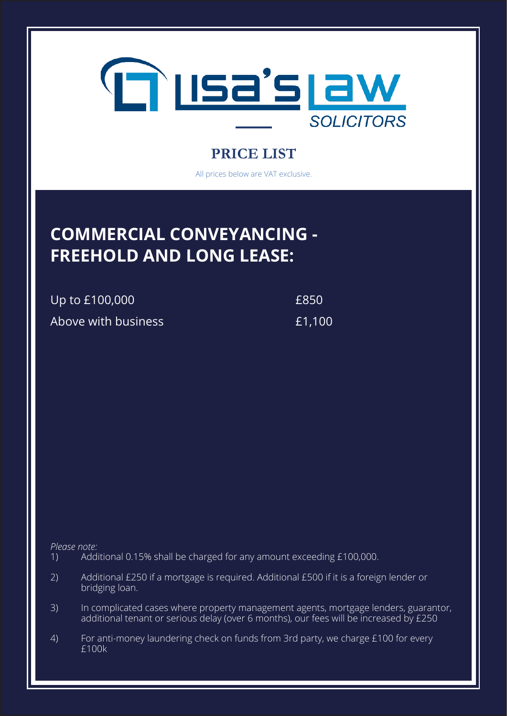

All prices below are VAT exclusive.

## **COMMERCIAL CONVEYANCING - FREEHOLD AND LONG LEASE:**

Up to £100,000  $£850$ 

Above with business **E1,100** 

*Please note:*

- 1) Additional 0.15% shall be charged for any amount exceeding £100,000.
- 2) Additional £250 if a mortgage is required. Additional £500 if it is a foreign lender or bridging loan.
- 3) In complicated cases where property management agents, mortgage lenders, guarantor, additional tenant or serious delay (over 6 months), our fees will be increased by £250
- 4) For anti-money laundering check on funds from 3rd party, we charge £100 for every £100k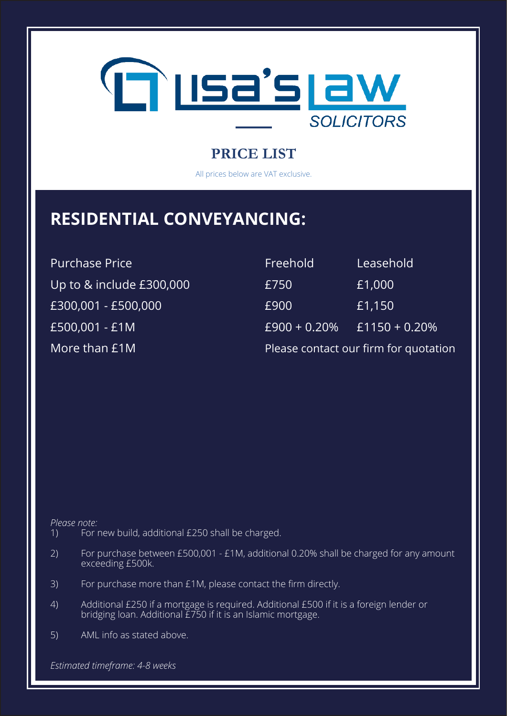

All prices below are VAT exclusive.

## **RESIDENTIAL CONVEYANCING:**

Purchase Price Up to  $&$  include £300,000 £300,001 - £500,000 £500,001 - £1M More than  $E1M$ 

| Freehold        | Leasehold                             |
|-----------------|---------------------------------------|
| £750            | £1,000                                |
| £900            | E1,150                                |
| $E900 + 0.20\%$ | £1150 + $0.20\%$                      |
|                 | Please contact our firm for quotation |

*Please note:*

- 1) For new build, additional £250 shall be charged.
- 2) For purchase between £500,001 £1M, additional 0.20% shall be charged for any amount exceeding £500k.
- 3) For purchase more than £1M, please contact the firm directly.
- 4) Additional £250 if a mortgage is required. Additional £500 if it is a foreign lender or bridging loan. Additional £750 if it is an Islamic mortgage.
- 5) AML info as stated above.

*Estimated timeframe: 4-8 weeks*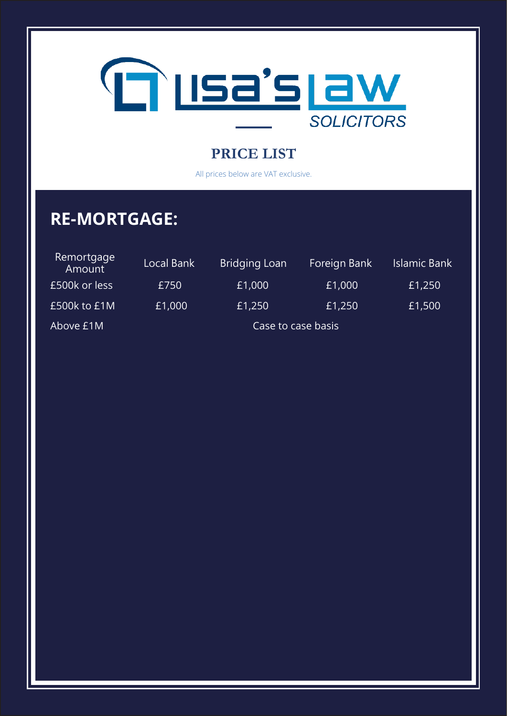

All prices below are VAT exclusive.

# **RE-MORTGAGE:**

| Remortgage<br>Amount | Local Bank | <b>Bridging Loan</b> | Foreign Bank | Islamic Bank |
|----------------------|------------|----------------------|--------------|--------------|
| £500k or less        | £750       | £1,000               | £1,000       | £1,250       |
| £500k to £1M         | £1,000     | £1,250               | £1,250       | £1,500       |
| Above £1M            |            | Case to case basis   |              |              |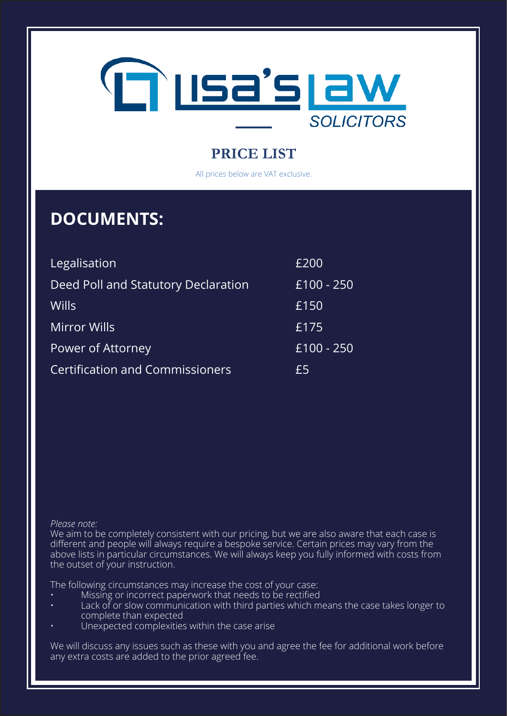

All prices below are VAT exclusive.

### **DOCUMENTS:**

| Legalisation                           | £200       |
|----------------------------------------|------------|
| Deed Poll and Statutory Declaration    | £100 - 250 |
| <b>Wills</b>                           | £150       |
| <b>Mirror Wills</b>                    | £175       |
| Power of Attorney                      | £100 - 250 |
| <b>Certification and Commissioners</b> | £5         |

#### *Please note:*

We aim to be completely consistent with our pricing, but we are also aware that each case is different and people will always require a bespoke service. Certain prices may vary from the above lists in particular circumstances. We will always keep you fully informed with costs from the outset of your instruction.

The following circumstances may increase the cost of your case:

- Missing or incorrect paperwork that needs to be rectified
- Lack of or slow communication with third parties which means the case takes longer to complete than expected
- Unexpected complexities within the case arise

We will discuss any issues such as these with you and agree the fee for additional work before any extra costs are added to the prior agreed fee.